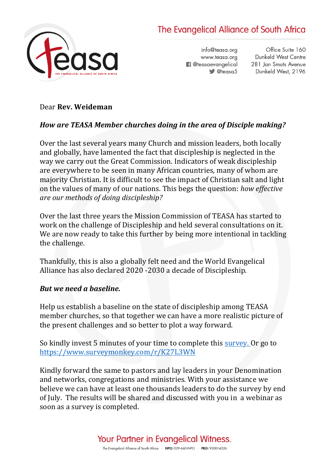# The Evangelical Alliance of South Africa



info@teasa.org www.teasa.org **f** @teasaevangelical  $\bullet$  @teasa5

Office Suite 160 Dunkeld West Centre 281 Jan Smuts Avenue Dunkeld West, 2196

#### Dear **Rev. Weideman**

## *How are TEASA Member churches doing in the area of Disciple making?*

Over the last several years many Church and mission leaders, both locally and globally, have lamented the fact that discipleship is neglected in the way we carry out the Great Commission. Indicators of weak discipleship are everywhere to be seen in many African countries, many of whom are majority Christian. It is difficult to see the impact of Christian salt and light on the values of many of our nations. This begs the question: *how effective are our methods of doing discipleship?*

Over the last three years the Mission Commission of TEASA has started to work on the challenge of Discipleship and held several consultations on it. We are now ready to take this further by being more intentional in tackling the challenge.

Thankfully, this is also a globally felt need and the World Evangelical Alliance has also declared 2020 -2030 a decade of Discipleship.

#### *But we need a baseline.*

Help us establish a baseline on the state of discipleship among TEASA member churches, so that together we can have a more realistic picture of the present challenges and so better to plot a way forward.

So kindly invest 5 minutes of your time to complete this [survey.](https://www.surveymonkey.com/r/K27L3WN) Or go to <https://www.surveymonkey.com/r/K27L3WN>

Kindly forward the same to pastors and lay leaders in your Denomination and networks, congregations and ministries. With your assistance we believe we can have at least one thousands leaders to do the survey by end of July. The results will be shared and discussed with you in a webinar as soon as a survey is completed.